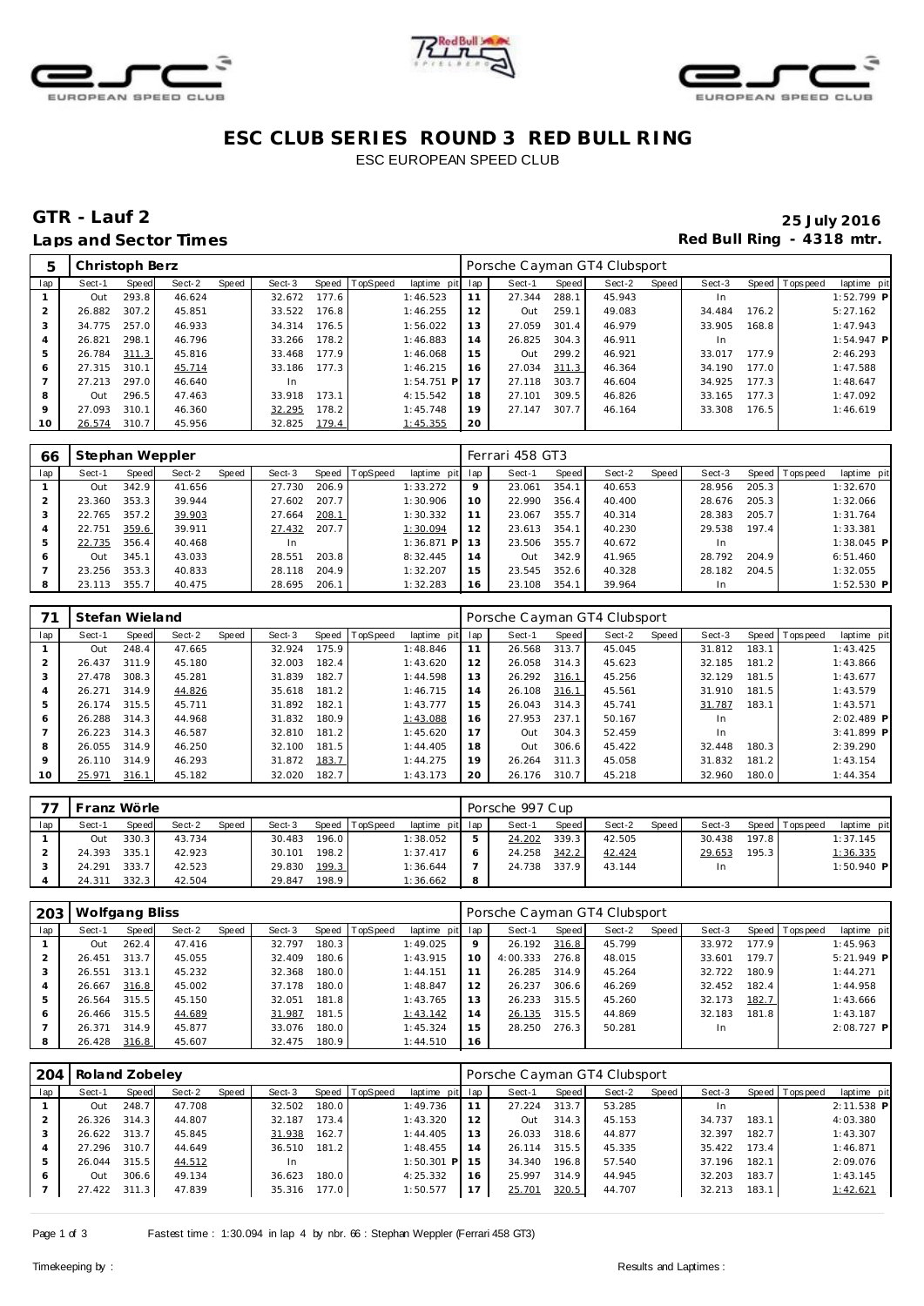





# **ESC CLUB SERIES ROUND 3 RED BULL RING** ESC EUROPEAN SPEED CLUB

# **GTR - Lauf 2 25 July 2016** Laps and Sector Times **Red Bull Ring - 4318 mtr. Red Bull Ring - 4318 mtr.**

| 5              | Christoph Berz |       |        |       |        |       |          |                 |    | Porsche Cayman GT4 Clubsport |       |        |       |        |       |                |              |
|----------------|----------------|-------|--------|-------|--------|-------|----------|-----------------|----|------------------------------|-------|--------|-------|--------|-------|----------------|--------------|
| lap            | Sect-1         | Speed | Sect-2 | Speed | Sect-3 | Speed | TopSpeed | laptime pit lap |    | Sect-1                       | Speed | Sect-2 | Speed | Sect-3 |       | Speed Topspeed | laptime pit  |
|                | Out            | 293.8 | 46.624 |       | 32.672 | 177.6 |          | 1:46.523        | 11 | 27.344                       | 288.1 | 45.943 |       | In.    |       |                | $1:52.799$ P |
|                | 26.882         | 307.2 | 45.851 |       | 33.522 | 176.8 |          | 1:46.255        | 12 | <b>Out</b>                   | 259.1 | 49.083 |       | 34.484 | 176.2 |                | 5:27.162     |
| 3              | 34.775         | 257.0 | 46.933 |       | 34.314 | 176.5 |          | 1:56.022        | 13 | 27.059                       | 301.4 | 46.979 |       | 33.905 | 168.8 |                | 1:47.943     |
| $\overline{A}$ | 26.821         | 298.1 | 46.796 |       | 33.266 | 178.2 |          | 1:46.883        | 14 | 26.825                       | 304.3 | 46.911 |       | In.    |       |                | $1:54.947$ P |
| 5              | 26.784         | 311.3 | 45.816 |       | 33.468 | 177.9 |          | 1:46.068        | 15 | Out                          | 299.2 | 46.921 |       | 33.017 | 177.9 |                | 2:46.293     |
| 6              | 27.315         | 310.1 | 45.714 |       | 33.186 | 177.3 |          | 1:46.215        | 16 | 27.034                       | 311.3 | 46.364 |       | 34.190 | 177.0 |                | 1:47.588     |
|                | 27.213         | 297.0 | 46.640 |       | In     |       |          | $1:54.751$ P    | 17 | 27.118                       | 303.7 | 46.604 |       | 34.925 | 177.3 |                | 1:48.647     |
| 8              | Out            | 296.5 | 47.463 |       | 33.918 | 173.1 |          | 4:15.542        | 18 | 27.101                       | 309.5 | 46.826 |       | 33.165 | 177.3 |                | 1:47.092     |
| 9              | 27.093         | 310.1 | 46.360 |       | 32.295 | 178.2 |          | 1:45.748        | 19 | 27.147                       | 307.7 | 46.164 |       | 33.308 | 176.5 |                | 1:46.619     |
| 10             | 26.574         | 310.7 | 45.956 |       | 32.825 | 179.4 |          | 1:45.355        | 20 |                              |       |        |       |        |       |                |              |

| 66           | Stephan Weppler |       |        |       |        |       |                |              |     | Ferrari 458 GT3 |       |        |       |        |       |                 |              |
|--------------|-----------------|-------|--------|-------|--------|-------|----------------|--------------|-----|-----------------|-------|--------|-------|--------|-------|-----------------|--------------|
| lap          | Sect-1          | Speed | Sect-2 | Speed | Sect-3 |       | Speed TopSpeed | laptime pit  | lap | Sect-1          | Speed | Sect-2 | Speed | Sect-3 |       | Speed Tops peed | laptime pit  |
|              | Out             | 342.9 | 41.656 |       | 27.730 | 206.9 |                | 1:33.272     | 9   | 23.061          | 354.1 | 40.653 |       | 28.956 | 205.3 |                 | 1:32.670     |
|              | 23.360          | 353.3 | 39.944 |       | 27.602 | 207.7 |                | 1:30.906     | 10  | 22.990          | 356.4 | 40.400 |       | 28.676 | 205.3 |                 | 1:32.066     |
|              | 22.765          | 357.2 | 39.903 |       | 27.664 | 208.1 |                | 1:30.332     |     | 23.067          | 355.7 | 40.314 |       | 28.383 | 205.7 |                 | 1:31.764     |
| 4            | 22.751          | 359.6 | 39.911 |       | 27.432 | 207.7 |                | 1:30.094     | 12  | 23.613          | 354.1 | 40.230 |       | 29.538 | 197.4 |                 | 1:33.381     |
|              | 22.735          | 356.4 | 40.468 |       |        |       |                | $1:36.871$ P | l 3 | 23.506          | 355.7 | 40.672 |       |        |       |                 | $1:38.045$ P |
| <sub>6</sub> | Out             | 345.  | 43.033 |       | 28.551 | 203.8 |                | 8:32.445     | 14  | Out             | 342.9 | 41.965 |       | 28.792 | 204.9 |                 | 6:51.460     |
|              | 23.256          | 353.3 | 40.833 |       | 28.118 | 204.9 |                | 1:32.207     | 15  | 23.545          | 352.6 | 40.328 |       | 28.182 | 204.5 |                 | 1:32.055     |
|              | 23.113          | 355.7 | 40.475 |       | 28.695 | 206.1 |                | 1:32.283     | 16  | 23.108          | 354.1 | 39.964 |       | In.    |       |                 | $1:52.530$ P |

|         | Stefan Wieland |       |        |       |        |       |          |             |     | Porsche Cayman GT4 Clubsport |       |        |       |        |       |                 |             |
|---------|----------------|-------|--------|-------|--------|-------|----------|-------------|-----|------------------------------|-------|--------|-------|--------|-------|-----------------|-------------|
| lap     | Sect-1         | Speed | Sect-2 | Speed | Sect-3 | Speed | TopSpeed | laptime pit | lap | Sect-1                       | Speed | Sect-2 | Speed | Sect-3 |       | Speed Tops peed | laptime pit |
|         | Out            | 248.4 | 47.665 |       | 32.924 | 175.9 |          | 1:48.846    |     | 26.568                       | 313.7 | 45.045 |       | 31.812 | 183.1 |                 | 1:43.425    |
|         | 26.437         | 311.9 | 45.180 |       | 32.003 | 182.4 |          | 1:43.620    | 12  | 26.058                       | 314.3 | 45.623 |       | 32.185 | 181.2 |                 | 1:43.866    |
| 3       | 27.478         | 308.3 | 45.281 |       | 31.839 | 182.7 |          | 1:44.598    | 13  | 26.292                       | 316.1 | 45.256 |       | 32.129 | 181.5 |                 | 1:43.677    |
|         | 26.271         | 314.9 | 44.826 |       | 35.618 | 181.2 |          | 1:46.715    | 14  | 26.108                       | 316.1 | 45.561 |       | 31.910 | 181.5 |                 | 1:43.579    |
| 5       | 26.174         | 315.5 | 45.711 |       | 31.892 | 182.1 |          | 1:43.777    | 15  | 26.043                       | 314.3 | 45.741 |       | 31.787 | 183.1 |                 | 1:43.571    |
| 6       | 26.288         | 314.3 | 44.968 |       | 31.832 | 180.9 |          | 1:43.088    | 16  | 27.953                       | 237.1 | 50.167 |       | In.    |       |                 | 2:02.489 P  |
|         | 26.223         | 314.3 | 46.587 |       | 32.810 | 181.2 |          | 1:45.620    | 17  | <b>Out</b>                   | 304.3 | 52.459 |       | In     |       |                 | 3:41.899 P  |
| 8       | 26.055         | 314.9 | 46.250 |       | 32.100 | 181.5 |          | 1:44.405    | 18  | <b>Out</b>                   | 306.6 | 45.422 |       | 32.448 | 180.3 |                 | 2:39.290    |
| $\circ$ | 26.110         | 314.9 | 46.293 |       | 31.872 | 183.7 |          | 1:44.275    | 19  | 26.264                       | 311.3 | 45.058 |       | 31.832 | 181.2 |                 | 1:43.154    |
| 10      | 25.971         | 316.1 | 45.182 |       | 32.020 | 182.7 |          | 1:43.173    | 20  | 26.176                       | 310.7 | 45.218 |       | 32.960 | 180.0 |                 | 1:44.354    |

|     | Franz Wörle |       |        |              |        |       |                |                 |   | Porsche 997 Cup |       |        |       |        |       |                 |              |
|-----|-------------|-------|--------|--------------|--------|-------|----------------|-----------------|---|-----------------|-------|--------|-------|--------|-------|-----------------|--------------|
| lap | Sect-1      | Speed | Sect-2 | <b>Speed</b> | Sect-3 |       | Speed TopSpeed | laptime pit lap |   | Sect-1          | Speed | Sect-2 | Speed | Sect-3 |       | Speed Tops peed | laptime pit  |
|     | Out         | 330.3 | 43.734 |              | 30.483 | 196.0 |                | 1:38.052        |   | 24.202          | 339.3 | 42.505 |       | 30.438 | 197.8 |                 | 1:37.145     |
|     | 24.393      | 335.1 | 42.923 |              | 30.101 | 198.2 |                | 1:37.417        |   | 24.258          | 342.2 | 42.424 |       | 29.653 | 195.3 |                 | 1:36.335     |
|     | 24.291      | 333.7 | 42.523 |              | 29.830 | 199.3 |                | 1:36.644        |   | 24.738          | 337.9 | 43.144 |       | In     |       |                 | $1:50.940$ P |
|     | 24.311      | 332.3 | 42.504 |              | 29.847 | 198.9 |                | 1:36.662        | 8 |                 |       |        |       |        |       |                 |              |

| 203 | Wolfgang Bliss |       |        |       |        |       |          |                 |    | Porsche Cayman GT4 Clubsport |       |        |       |        |       |                |              |  |
|-----|----------------|-------|--------|-------|--------|-------|----------|-----------------|----|------------------------------|-------|--------|-------|--------|-------|----------------|--------------|--|
| lap | Sect-1         | Speed | Sect-2 | Speed | Sect-3 | Speed | TopSpeed | laptime pit lap |    | Sect-1                       | Speed | Sect-2 | Speed | Sect-3 |       | Speed Topspeed | laptime pit  |  |
|     | Out            | 262.4 | 47.416 |       | 32.797 | 180.3 |          | 1:49.025        | 9  | 26.192                       | 316.8 | 45.799 |       | 33.972 | 177.9 |                | 1:45.963     |  |
|     | 26.451         | 313.7 | 45.055 |       | 32.409 | 180.6 |          | 1:43.915        | 10 | 4:00.333                     | 276.8 | 48.015 |       | 33.601 | 179.7 |                | $5:21.949$ P |  |
|     | 26.551         | 313.1 | 45.232 |       | 32.368 | 180.0 |          | 1:44.151        |    | 26.285                       | 314.9 | 45.264 |       | 32.722 | 180.9 |                | 1:44.271     |  |
| 4   | 26.667         | 316.8 | 45.002 |       | 37.178 | 180.0 |          | 1:48.847        | 12 | 26.237                       | 306.6 | 46.269 |       | 32.452 | 182.4 |                | 1:44.958     |  |
| 5   | 26.564         | 315.5 | 45.150 |       | 32.051 | 181.8 |          | 1:43.765        | 13 | 26.233                       | 315.5 | 45.260 |       | 32.173 | 182.7 |                | 1:43.666     |  |
| 6   | 26.466         | 315.5 | 44.689 |       | 31.987 | 181.5 |          | 1:43.142        | 14 | 26.135                       | 315.5 | 44.869 |       | 32.183 | 181.8 |                | 1:43.187     |  |
|     | 26.371         | 314.9 | 45.877 |       | 33.076 | 180.0 |          | 1:45.324        | 15 | 28.250                       | 276.3 | 50.281 |       | In     |       |                | $2:08.727$ P |  |
| 8   | 26.428         | 316.8 | 45.607 |       | 32.475 | 180.9 |          | 1:44.510        | 16 |                              |       |        |       |        |       |                |              |  |

| Sect-2<br>Speed<br>Speed<br>47.708 | Sect-3                  | laptime pit lap<br>Speed TopSpeed |                                           |              |       |        |       |        |       |                |              |
|------------------------------------|-------------------------|-----------------------------------|-------------------------------------------|--------------|-------|--------|-------|--------|-------|----------------|--------------|
|                                    |                         |                                   |                                           | Sect-1       | Speed | Sect-2 | Speed | Sect-3 |       | Speed Topspeed | laptime pit  |
|                                    | 32.502<br>180.0         | 1:49.736                          | 11                                        | 27.224       | 313.7 | 53.285 |       |        |       |                | $2:11.538$ P |
| 44.807                             | 32.187                  | 1:43.320                          | 12                                        | Out          | 314.3 | 45.153 |       | 34.737 | 183.1 |                | 4:03.380     |
| 45.845                             | 31.938                  | 1:44.405                          | 13                                        | 26.033       | 318.6 | 44.877 |       | 32.397 | 182.7 |                | 1:43.307     |
| 44.649                             | 36.510                  | 1:48.455                          | 14                                        | 26.114       | 315.5 | 45.335 |       | 35.422 | 173.4 |                | 1:46.871     |
| 44.512                             | <b>In</b>               |                                   | -15                                       | 34.340       | 196.8 | 57.540 |       | 37.196 | 182.1 |                | 2:09.076     |
| 49.134                             | 36.623                  | 4:25.332                          | 16                                        | 25.997       | 314.9 | 44.945 |       | 32.203 | 183.7 |                | 1:43.145     |
| 47.839                             | 35.316                  | 1:50.577                          | 17                                        | 25.701       | 320.5 | 44.707 |       | 32.213 | 183.1 |                | 1:42.621     |
|                                    | 314.3<br>310.7<br>311.3 |                                   | 173.4<br>162.7<br>181.2<br>180.0<br>177.0 | $1:50.301$ P |       |        |       |        |       |                |              |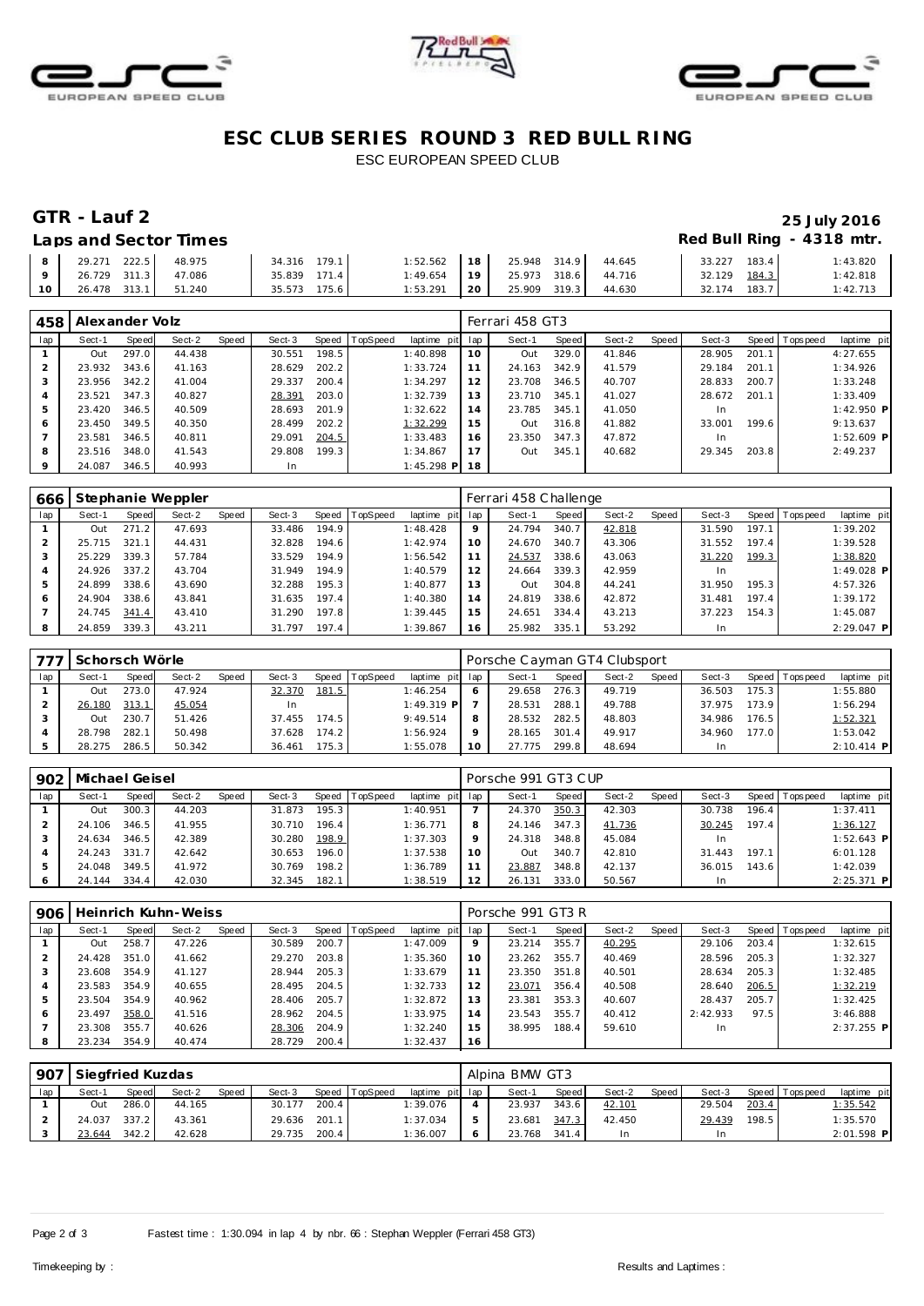





## **ESC CLUB SERIES ROUND 3 RED BULL RING** ESC EUROPEAN SPEED CLUB

## Laps and Sector Times **Red Bull Ring - 4318 mtr.**

# **GTR - Lauf 2 25 July 2016**

| 8               | 29.271<br>222.5 | 48.975 | 179.1<br>34.316 | 1:52.562   | 18 | 25.948 314.9 | 44.645 | 183.4<br>33.227 | 1:43.820 |
|-----------------|-----------------|--------|-----------------|------------|----|--------------|--------|-----------------|----------|
| $\circ$         | 26.729 311.3    | 47.086 | 171.4<br>35.839 | l : 49.654 | 19 | 25.973 318.6 | 44.716 | 184.3<br>32.129 | 1:42.818 |
| 10 <sup>1</sup> | 26.478 313.1    | 51.240 | 175.6<br>35.573 | 1:53.291   | 20 | 25.909 319.3 | 44.630 | 183.7<br>32.174 | 1:42.713 |

| 458          | Alexander Volz |       |        |       |        |       |          |              |     | Ferrari 458 GT3 |       |        |       |           |       |                 |              |  |
|--------------|----------------|-------|--------|-------|--------|-------|----------|--------------|-----|-----------------|-------|--------|-------|-----------|-------|-----------------|--------------|--|
| lap          | Sect-1         | Speed | Sect-2 | Speed | Sect-3 | Speed | TopSpeed | laptime pit  | lap | Sect-1          | Speed | Sect-2 | Speed | Sect-3    |       | Speed Tops peed | laptime pit  |  |
|              | Out            | 297.0 | 44.438 |       | 30.551 | 198.5 |          | 1:40.898     | 10  | Out             | 329.0 | 41.846 |       | 28.905    | 201.1 |                 | 4:27.655     |  |
|              | 23.932         | 343.6 | 41.163 |       | 28.629 | 202.2 |          | 1:33.724     | 11  | 24.163          | 342.9 | 41.579 |       | 29.184    | 201.1 |                 | 1:34.926     |  |
| 3            | 23.956         | 342.2 | 41.004 |       | 29.337 | 200.4 |          | 1:34.297     | 12  | 23.708          | 346.5 | 40.707 |       | 28.833    | 200.7 |                 | 1:33.248     |  |
|              | 23.521         | 347.3 | 40.827 |       | 28.391 | 203.0 |          | 1:32.739     | 13  | 23.710          | 345.1 | 41.027 |       | 28.672    | 201.1 |                 | 1:33.409     |  |
| b.           | 23.420         | 346.5 | 40.509 |       | 28.693 | 201.9 |          | 1:32.622     | 14  | 23.785          | 345.1 | 41.050 |       | <b>In</b> |       |                 | $1:42.950$ P |  |
| <sup>6</sup> | 23.450 349.5   |       | 40.350 |       | 28.499 | 202.2 |          | 1:32.299     | 15  | Out             | 316.8 | 41.882 |       | 33.001    | 199.6 |                 | 9:13.637     |  |
|              | 23.581         | 346.5 | 40.811 |       | 29.091 | 204.5 |          | 1:33.483     | 16  | 23.350          | 347.3 | 47.872 |       | <b>In</b> |       |                 | $1:52.609$ P |  |
| 8            | 23.516         | 348.0 | 41.543 |       | 29.808 | 199.3 |          | 1:34.867     | 17  | Out             | 345.1 | 40.682 |       | 29.345    | 203.8 |                 | 2:49.237     |  |
| $\circ$      | 24.087         | 346.5 | 40.993 |       | In.    |       |          | $1:45.298$ P | 18  |                 |       |        |       |           |       |                 |              |  |

| 666 |        |                      | Stephanie Weppler |       |        |       |          |             |     | Ferrari 458 Challenge |       |        |       |        |       |                 |              |
|-----|--------|----------------------|-------------------|-------|--------|-------|----------|-------------|-----|-----------------------|-------|--------|-------|--------|-------|-----------------|--------------|
| lap | Sect-1 | Speed                | Sect-2            | Speed | Sect-3 | Speed | TopSpeed | laptime pit | lap | Sect-1                | Speed | Sect-2 | Speed | Sect-3 |       | Speed Tops peed | laptime pit  |
|     | Out    | 271<br>$\mathcal{P}$ | 47.693            |       | 33.486 | 194.9 |          | 1:48.428    | 9   | 24.794                | 340.7 | 42.818 |       | 31.590 | 197.1 |                 | 1:39.202     |
|     | 25.715 | 321                  | 44.431            |       | 32.828 | 194.6 |          | 1:42.974    | 10  | 24.670                | 340.7 | 43.306 |       | 31.552 | 197.4 |                 | 1:39.528     |
|     | 25.229 | 339.3                | 57.784            |       | 33.529 | 194.9 |          | 1:56.542    |     | 24.537                | 338.6 | 43.063 |       | 31.220 | 199.3 |                 | 1:38.820     |
|     | 24.926 | 337.2                | 43.704            |       | 31.949 | 194.9 |          | 1:40.579    | 12  | 24.664                | 339.3 | 42.959 |       | In     |       |                 | $1:49.028$ P |
| 5   | 24.899 | 338.6                | 43.690            |       | 32.288 | 195.3 |          | 1:40.877    | 13  | Out                   | 304.8 | 44.241 |       | 31.950 | 195.3 |                 | 4:57.326     |
| 6   | 24.904 | 338.6                | 43.841            |       | 31.635 | 197.4 |          | 1:40.380    | 14  | 24.819                | 338.6 | 42.872 |       | 31.481 | 197.4 |                 | 1:39.172     |
|     | 24.745 | 341.4                | 43.410            |       | 31.290 | 197.8 |          | 1:39.445    | 15  | 24.651                | 334.4 | 43.213 |       | 37.223 | 154.3 |                 | 1:45.087     |
| 8   | 24.859 | 339.3                | 43.211            |       | 31.797 | 197.4 |          | 1:39.867    | 16  | 25.982                | 335.1 | 53.292 |       | In     |       |                 | $2:29.047$ P |

|     | Schorsch Wörle |       |        |       |        |       |                |                 |    | Porsche Cayman GT4 Clubsport |       |        |       |        |       |                 |             |
|-----|----------------|-------|--------|-------|--------|-------|----------------|-----------------|----|------------------------------|-------|--------|-------|--------|-------|-----------------|-------------|
| lap | Sect-1         | Speed | Sect-2 | Speed | Sect-3 |       | Speed TopSpeed | laptime pit lap |    | Sect-1                       | Speed | Sect-2 | Speed | Sect-3 |       | Speed Tops peed | laptime pit |
|     | Out            | 273.0 | 47.924 |       | 32.370 | 181.5 |                | 1:46.254        |    | 29.658                       | 276.3 | 49.719 |       | 36.503 | 175.3 |                 | 1:55.880    |
|     | 26.180         | 313.1 | 45.054 |       |        |       |                | $1:49.319$ P    |    | 28.531                       | 288.1 | 49.788 |       | 37.975 | 173.9 |                 | 1:56.294    |
|     | Out            | 230.7 | 51.426 |       | 37.455 | 174.5 |                | 9:49.514        |    | 28.532                       | 282.5 | 48.803 |       | 34.986 | 176.5 |                 | 1:52.321    |
|     | 28.798         | 282.1 | 50.498 |       | 37.628 | 174.2 |                | 1:56.924        |    | 28.165                       | 301.4 | 49.917 |       | 34.960 | 177.0 |                 | 1:53.042    |
|     | 28.275         | 286.5 | 50.342 |       | 36.461 | 175.3 |                | 1:55.078        | 10 | 27.775                       | 299.8 | 48.694 |       |        |       |                 | 2:10.414 P  |

| 902 | Michael Geisel |       |        |       |        |                    |          |                 |    | Porsche 991 GT3 CUP |       |        |       |        |       |                 |              |
|-----|----------------|-------|--------|-------|--------|--------------------|----------|-----------------|----|---------------------|-------|--------|-------|--------|-------|-----------------|--------------|
| lap | Sect-1         | Speed | Sect-2 | Speed | Sect-3 | Speed              | TopSpeed | laptime pit lap |    | Sect-1              | Speed | Sect-2 | Speed | Sect-3 |       | Speed Tops peed | laptime pit  |
|     | Out            | 300.3 | 44.203 |       | 31.873 | 195.3              |          | 1:40.951        |    | 24.370              | 350.3 | 42.303 |       | 30.738 | 196.4 |                 | 1:37.411     |
|     | 24.106         | 346.5 | 41.955 |       | 30.710 | 196.4              |          | 1:36.771        |    | 24.146              | 347.3 | 41.736 |       | 30.245 | 197.4 |                 | 1:36.127     |
|     | 24.634         | 346.5 | 42.389 |       | 30.280 | 198.9              |          | 1:37.303        |    | 24.318              | 348.8 | 45.084 |       |        |       |                 | $1:52.643$ P |
|     | 24.243         | 331   | 42.642 |       | 30.653 | 196.0 <sub>1</sub> |          | 1:37.538        | 10 | TuO                 | 340.7 | 42.810 |       | 31.443 | 197.1 |                 | 6:01.128     |
|     | 24.048         | 349.5 | 41.972 |       | 30.769 | 198.2              |          | 1:36.789        |    | 23.887              | 348.8 | 42.137 |       | 36.015 | 143.6 |                 | 1:42.039     |
|     | 24.144         | 334.4 | 42.030 |       | 32.345 | 182.1              |          | 1:38.519        |    | 26.131              | 333.0 | 50.567 |       |        |       |                 | $2:25.371$ P |

| 906 |        |       | Heinrich Kuhn-Weiss |       |        |       |                |                 |    | Porsche 991 GT3 R |       |        |       |          |       |                |              |
|-----|--------|-------|---------------------|-------|--------|-------|----------------|-----------------|----|-------------------|-------|--------|-------|----------|-------|----------------|--------------|
| lap | Sect-1 | Speed | Sect-2              | Speed | Sect-3 |       | Speed TopSpeed | laptime pit lap |    | Sect-1            | Speed | Sect-2 | Speed | Sect-3   |       | Speed Topspeed | laptime pit  |
|     | Out    | 258.7 | 47.226              |       | 30.589 | 200.7 |                | 1:47.009        | 9  | 23.214            | 355.7 | 40.295 |       | 29.106   | 203.4 |                | 1:32.615     |
|     | 24.428 | 351.0 | 41.662              |       | 29.270 | 203.8 |                | 1:35.360        | 10 | 23.262            | 355.7 | 40.469 |       | 28.596   | 205.3 |                | 1:32.327     |
|     | 23.608 | 354.9 | 41.127              |       | 28.944 | 205.3 |                | 1:33.679        |    | 23.350            | 351.8 | 40.501 |       | 28.634   | 205.3 |                | 1:32.485     |
| 4   | 23.583 | 354.9 | 40.655              |       | 28.495 | 204.5 |                | 1:32.733        | 12 | 23.071            | 356.4 | 40.508 |       | 28.640   | 206.5 |                | 1:32.219     |
| 5   | 23.504 | 354.9 | 40.962              |       | 28.406 | 205.7 |                | 1:32.872        | 13 | 23.381            | 353.3 | 40.607 |       | 28.437   | 205.7 |                | 1:32.425     |
| 6   | 23.497 | 358.0 | 41.516              |       | 28.962 | 204.5 |                | 1:33.975        | 14 | 23.543            | 355.7 | 40.412 |       | 2:42.933 | 97.5  |                | 3:46.888     |
|     | 23.308 | 355.7 | 40.626              |       | 28.306 | 204.9 |                | 1:32.240        | 15 | 38.995            | 188.4 | 59.610 |       |          |       |                | $2:37.255$ P |
| 8   | 23.234 | 354.9 | 40.474              |       | 28.729 | 200.4 |                | 1:32.437        | 16 |                   |       |        |       |          |       |                |              |

|     | 907 Siegfried Kuzdas |       |        |       |        |       |                |                 |  | Alpina BMW GT3 |       |        |       |        |       |                 |              |  |  |  |  |
|-----|----------------------|-------|--------|-------|--------|-------|----------------|-----------------|--|----------------|-------|--------|-------|--------|-------|-----------------|--------------|--|--|--|--|
| lap | Sect-1               | Speed | Sect-2 | Speed | Sect-3 |       | Speed TopSpeed | laptime pit lap |  | Sect-1         | Speed | Sect-2 | Speed | Sect-3 |       | Speed Tops peed | laptime pit  |  |  |  |  |
|     | Out                  | 286.0 | 44.165 |       | 30.177 | 200.4 |                | 1:39.076        |  | 23.937         | 343.6 | 42.101 |       | 29.504 | 203.4 |                 | 1:35.542     |  |  |  |  |
|     | 24.037               | 337.2 | 43.361 |       | 29.636 | 201.1 |                | 1:37.034        |  | 23.681         | 347.3 | 42.450 |       | 29.439 | 198.5 |                 | 1:35.570     |  |  |  |  |
|     | 23.644               | 342.2 | 42.628 |       | 29.735 | 200.4 |                | 1:36.007        |  | 23.768         | 341.4 | In.    |       |        |       |                 | $2:01.598$ P |  |  |  |  |